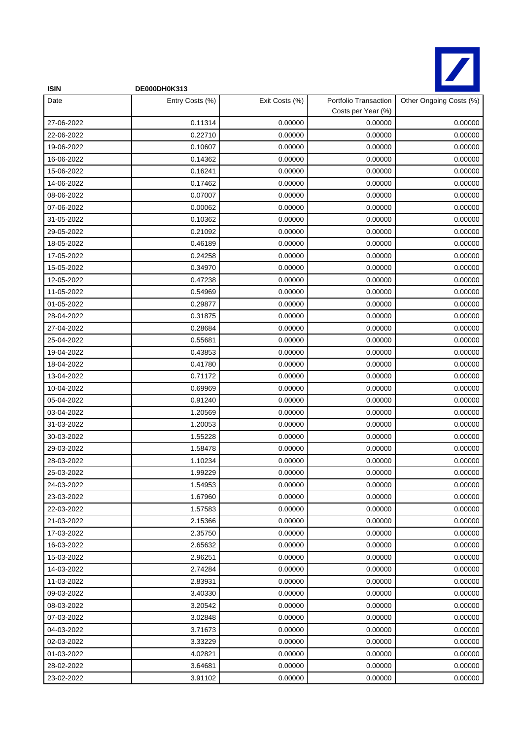

| <b>ISIN</b> | DE000DH0K313    |                |                                             |                         |
|-------------|-----------------|----------------|---------------------------------------------|-------------------------|
| Date        | Entry Costs (%) | Exit Costs (%) | Portfolio Transaction<br>Costs per Year (%) | Other Ongoing Costs (%) |
| 27-06-2022  | 0.11314         | 0.00000        | 0.00000                                     | 0.00000                 |
| 22-06-2022  | 0.22710         | 0.00000        | 0.00000                                     | 0.00000                 |
| 19-06-2022  | 0.10607         | 0.00000        | 0.00000                                     | 0.00000                 |
| 16-06-2022  | 0.14362         | 0.00000        | 0.00000                                     | 0.00000                 |
| 15-06-2022  | 0.16241         | 0.00000        | 0.00000                                     | 0.00000                 |
| 14-06-2022  | 0.17462         | 0.00000        | 0.00000                                     | 0.00000                 |
| 08-06-2022  | 0.07007         | 0.00000        | 0.00000                                     | 0.00000                 |
| 07-06-2022  | 0.00062         | 0.00000        | 0.00000                                     | 0.00000                 |
| 31-05-2022  | 0.10362         | 0.00000        | 0.00000                                     | 0.00000                 |
| 29-05-2022  | 0.21092         | 0.00000        | 0.00000                                     | 0.00000                 |
| 18-05-2022  | 0.46189         | 0.00000        | 0.00000                                     | 0.00000                 |
| 17-05-2022  | 0.24258         | 0.00000        | 0.00000                                     | 0.00000                 |
| 15-05-2022  | 0.34970         | 0.00000        | 0.00000                                     | 0.00000                 |
| 12-05-2022  | 0.47238         | 0.00000        | 0.00000                                     | 0.00000                 |
| 11-05-2022  | 0.54969         | 0.00000        | 0.00000                                     | 0.00000                 |
| 01-05-2022  | 0.29877         | 0.00000        | 0.00000                                     | 0.00000                 |
| 28-04-2022  | 0.31875         | 0.00000        | 0.00000                                     | 0.00000                 |
| 27-04-2022  | 0.28684         | 0.00000        | 0.00000                                     | 0.00000                 |
| 25-04-2022  | 0.55681         | 0.00000        | 0.00000                                     | 0.00000                 |
| 19-04-2022  | 0.43853         | 0.00000        | 0.00000                                     | 0.00000                 |
| 18-04-2022  | 0.41780         | 0.00000        | 0.00000                                     | 0.00000                 |
| 13-04-2022  | 0.71172         | 0.00000        | 0.00000                                     | 0.00000                 |
| 10-04-2022  | 0.69969         | 0.00000        | 0.00000                                     | 0.00000                 |
| 05-04-2022  | 0.91240         | 0.00000        | 0.00000                                     | 0.00000                 |
| 03-04-2022  | 1.20569         | 0.00000        | 0.00000                                     | 0.00000                 |
| 31-03-2022  | 1.20053         | 0.00000        | 0.00000                                     | 0.00000                 |
| 30-03-2022  | 1.55228         | 0.00000        | 0.00000                                     | 0.00000                 |
| 29-03-2022  | 1.58478         | 0.00000        | 0.00000                                     | 0.00000                 |
| 28-03-2022  | 1.10234         | 0.00000        | 0.00000                                     | 0.00000                 |
| 25-03-2022  | 1.99229         | 0.00000        | 0.00000                                     | 0.00000                 |
| 24-03-2022  | 1.54953         | 0.00000        | 0.00000                                     | 0.00000                 |
| 23-03-2022  | 1.67960         | 0.00000        | 0.00000                                     | 0.00000                 |
| 22-03-2022  | 1.57583         | 0.00000        | 0.00000                                     | 0.00000                 |
| 21-03-2022  | 2.15366         | 0.00000        | 0.00000                                     | 0.00000                 |
| 17-03-2022  | 2.35750         | 0.00000        | 0.00000                                     | 0.00000                 |
| 16-03-2022  | 2.65632         | 0.00000        | 0.00000                                     | 0.00000                 |
| 15-03-2022  | 2.96251         | 0.00000        | 0.00000                                     | 0.00000                 |
| 14-03-2022  | 2.74284         | 0.00000        | 0.00000                                     | 0.00000                 |
| 11-03-2022  | 2.83931         | 0.00000        | 0.00000                                     | 0.00000                 |
| 09-03-2022  | 3.40330         | 0.00000        | 0.00000                                     | 0.00000                 |
| 08-03-2022  | 3.20542         | 0.00000        | 0.00000                                     | 0.00000                 |
| 07-03-2022  | 3.02848         | 0.00000        | 0.00000                                     | 0.00000                 |
| 04-03-2022  | 3.71673         | 0.00000        | 0.00000                                     | 0.00000                 |
| 02-03-2022  | 3.33229         | 0.00000        | 0.00000                                     | 0.00000                 |
| 01-03-2022  | 4.02821         | 0.00000        | 0.00000                                     | 0.00000                 |
| 28-02-2022  | 3.64681         | 0.00000        | 0.00000                                     | 0.00000                 |
| 23-02-2022  | 3.91102         | 0.00000        | 0.00000                                     | 0.00000                 |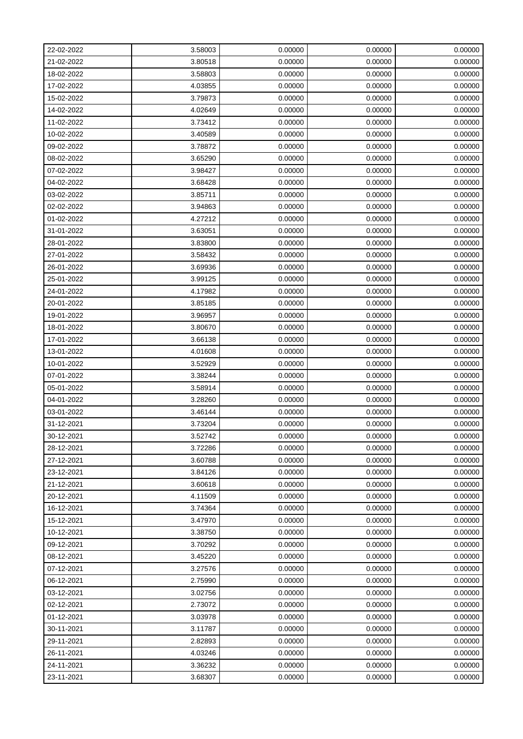| 22-02-2022 | 3.58003 | 0.00000 | 0.00000 | 0.00000 |
|------------|---------|---------|---------|---------|
| 21-02-2022 | 3.80518 | 0.00000 | 0.00000 | 0.00000 |
| 18-02-2022 | 3.58803 | 0.00000 | 0.00000 | 0.00000 |
| 17-02-2022 | 4.03855 | 0.00000 | 0.00000 | 0.00000 |
| 15-02-2022 | 3.79873 | 0.00000 | 0.00000 | 0.00000 |
| 14-02-2022 | 4.02649 | 0.00000 | 0.00000 | 0.00000 |
| 11-02-2022 | 3.73412 | 0.00000 | 0.00000 | 0.00000 |
| 10-02-2022 | 3.40589 | 0.00000 | 0.00000 | 0.00000 |
| 09-02-2022 | 3.78872 | 0.00000 | 0.00000 | 0.00000 |
| 08-02-2022 | 3.65290 | 0.00000 | 0.00000 | 0.00000 |
| 07-02-2022 | 3.98427 | 0.00000 | 0.00000 | 0.00000 |
| 04-02-2022 | 3.68428 | 0.00000 | 0.00000 | 0.00000 |
| 03-02-2022 | 3.85711 | 0.00000 | 0.00000 | 0.00000 |
| 02-02-2022 | 3.94863 | 0.00000 | 0.00000 | 0.00000 |
| 01-02-2022 | 4.27212 | 0.00000 | 0.00000 | 0.00000 |
| 31-01-2022 | 3.63051 | 0.00000 | 0.00000 | 0.00000 |
| 28-01-2022 | 3.83800 | 0.00000 | 0.00000 | 0.00000 |
| 27-01-2022 | 3.58432 | 0.00000 | 0.00000 | 0.00000 |
| 26-01-2022 | 3.69936 | 0.00000 | 0.00000 | 0.00000 |
| 25-01-2022 | 3.99125 | 0.00000 | 0.00000 | 0.00000 |
| 24-01-2022 | 4.17982 | 0.00000 | 0.00000 | 0.00000 |
| 20-01-2022 | 3.85185 | 0.00000 | 0.00000 | 0.00000 |
| 19-01-2022 | 3.96957 | 0.00000 | 0.00000 | 0.00000 |
| 18-01-2022 | 3.80670 | 0.00000 | 0.00000 | 0.00000 |
| 17-01-2022 | 3.66138 | 0.00000 | 0.00000 | 0.00000 |
| 13-01-2022 | 4.01608 | 0.00000 | 0.00000 | 0.00000 |
| 10-01-2022 | 3.52929 | 0.00000 | 0.00000 | 0.00000 |
| 07-01-2022 | 3.38244 | 0.00000 | 0.00000 | 0.00000 |
| 05-01-2022 | 3.58914 | 0.00000 | 0.00000 | 0.00000 |
| 04-01-2022 | 3.28260 | 0.00000 | 0.00000 | 0.00000 |
| 03-01-2022 | 3.46144 | 0.00000 | 0.00000 | 0.00000 |
| 31-12-2021 | 3.73204 | 0.00000 | 0.00000 | 0.00000 |
| 30-12-2021 | 3.52742 | 0.00000 | 0.00000 | 0.00000 |
| 28-12-2021 | 3.72286 | 0.00000 | 0.00000 | 0.00000 |
| 27-12-2021 | 3.60788 | 0.00000 | 0.00000 | 0.00000 |
| 23-12-2021 | 3.84126 | 0.00000 | 0.00000 | 0.00000 |
| 21-12-2021 | 3.60618 | 0.00000 | 0.00000 | 0.00000 |
| 20-12-2021 | 4.11509 | 0.00000 | 0.00000 | 0.00000 |
| 16-12-2021 | 3.74364 | 0.00000 | 0.00000 | 0.00000 |
| 15-12-2021 | 3.47970 | 0.00000 | 0.00000 | 0.00000 |
| 10-12-2021 | 3.38750 | 0.00000 | 0.00000 | 0.00000 |
| 09-12-2021 | 3.70292 | 0.00000 | 0.00000 | 0.00000 |
| 08-12-2021 | 3.45220 | 0.00000 | 0.00000 | 0.00000 |
| 07-12-2021 | 3.27576 | 0.00000 | 0.00000 | 0.00000 |
| 06-12-2021 | 2.75990 | 0.00000 | 0.00000 | 0.00000 |
| 03-12-2021 | 3.02756 | 0.00000 | 0.00000 | 0.00000 |
| 02-12-2021 | 2.73072 | 0.00000 | 0.00000 | 0.00000 |
| 01-12-2021 | 3.03978 | 0.00000 | 0.00000 | 0.00000 |
| 30-11-2021 | 3.11787 | 0.00000 | 0.00000 | 0.00000 |
| 29-11-2021 | 2.82893 | 0.00000 | 0.00000 | 0.00000 |
| 26-11-2021 | 4.03246 | 0.00000 | 0.00000 | 0.00000 |
| 24-11-2021 | 3.36232 | 0.00000 | 0.00000 | 0.00000 |
| 23-11-2021 | 3.68307 | 0.00000 | 0.00000 | 0.00000 |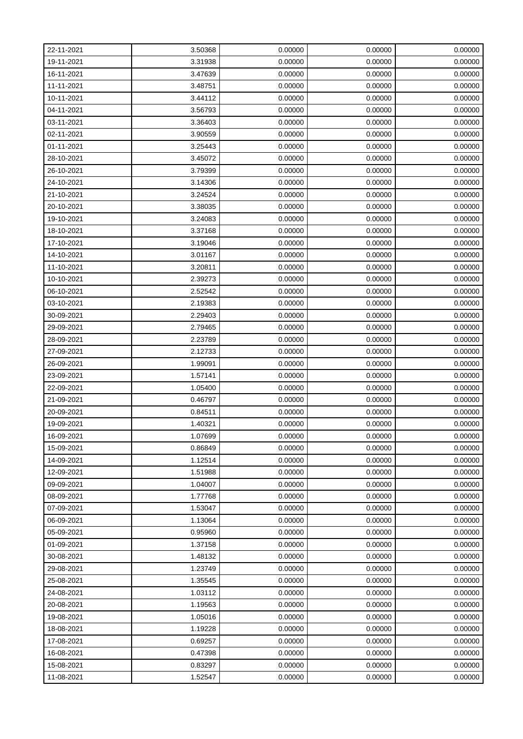| 22-11-2021 | 3.50368 | 0.00000 | 0.00000 | 0.00000 |
|------------|---------|---------|---------|---------|
| 19-11-2021 | 3.31938 | 0.00000 | 0.00000 | 0.00000 |
| 16-11-2021 | 3.47639 | 0.00000 | 0.00000 | 0.00000 |
| 11-11-2021 | 3.48751 | 0.00000 | 0.00000 | 0.00000 |
| 10-11-2021 | 3.44112 | 0.00000 | 0.00000 | 0.00000 |
| 04-11-2021 | 3.56793 | 0.00000 | 0.00000 | 0.00000 |
| 03-11-2021 | 3.36403 | 0.00000 | 0.00000 | 0.00000 |
| 02-11-2021 | 3.90559 | 0.00000 | 0.00000 | 0.00000 |
| 01-11-2021 | 3.25443 | 0.00000 | 0.00000 | 0.00000 |
| 28-10-2021 | 3.45072 | 0.00000 | 0.00000 | 0.00000 |
| 26-10-2021 | 3.79399 | 0.00000 | 0.00000 | 0.00000 |
| 24-10-2021 | 3.14306 | 0.00000 | 0.00000 | 0.00000 |
| 21-10-2021 | 3.24524 | 0.00000 | 0.00000 | 0.00000 |
| 20-10-2021 | 3.38035 | 0.00000 | 0.00000 | 0.00000 |
| 19-10-2021 | 3.24083 | 0.00000 | 0.00000 | 0.00000 |
| 18-10-2021 | 3.37168 | 0.00000 | 0.00000 | 0.00000 |
| 17-10-2021 | 3.19046 | 0.00000 | 0.00000 | 0.00000 |
| 14-10-2021 | 3.01167 | 0.00000 | 0.00000 | 0.00000 |
| 11-10-2021 | 3.20811 | 0.00000 | 0.00000 | 0.00000 |
| 10-10-2021 | 2.39273 | 0.00000 | 0.00000 | 0.00000 |
| 06-10-2021 | 2.52542 | 0.00000 | 0.00000 | 0.00000 |
| 03-10-2021 | 2.19383 | 0.00000 | 0.00000 | 0.00000 |
| 30-09-2021 | 2.29403 | 0.00000 | 0.00000 | 0.00000 |
| 29-09-2021 | 2.79465 | 0.00000 | 0.00000 | 0.00000 |
| 28-09-2021 | 2.23789 | 0.00000 | 0.00000 | 0.00000 |
| 27-09-2021 | 2.12733 | 0.00000 | 0.00000 | 0.00000 |
| 26-09-2021 | 1.99091 | 0.00000 | 0.00000 | 0.00000 |
| 23-09-2021 | 1.57141 | 0.00000 | 0.00000 | 0.00000 |
| 22-09-2021 | 1.05400 | 0.00000 | 0.00000 | 0.00000 |
| 21-09-2021 | 0.46797 | 0.00000 | 0.00000 | 0.00000 |
| 20-09-2021 | 0.84511 | 0.00000 | 0.00000 | 0.00000 |
| 19-09-2021 | 1.40321 | 0.00000 | 0.00000 | 0.00000 |
| 16-09-2021 | 1.07699 | 0.00000 | 0.00000 | 0.00000 |
| 15-09-2021 | 0.86849 | 0.00000 | 0.00000 | 0.00000 |
| 14-09-2021 | 1.12514 | 0.00000 | 0.00000 | 0.00000 |
| 12-09-2021 | 1.51988 | 0.00000 | 0.00000 | 0.00000 |
| 09-09-2021 | 1.04007 | 0.00000 | 0.00000 | 0.00000 |
| 08-09-2021 | 1.77768 | 0.00000 | 0.00000 | 0.00000 |
| 07-09-2021 | 1.53047 | 0.00000 | 0.00000 | 0.00000 |
| 06-09-2021 | 1.13064 | 0.00000 | 0.00000 | 0.00000 |
| 05-09-2021 | 0.95960 | 0.00000 | 0.00000 | 0.00000 |
| 01-09-2021 | 1.37158 | 0.00000 | 0.00000 | 0.00000 |
| 30-08-2021 | 1.48132 | 0.00000 | 0.00000 | 0.00000 |
| 29-08-2021 | 1.23749 | 0.00000 | 0.00000 | 0.00000 |
| 25-08-2021 | 1.35545 | 0.00000 | 0.00000 | 0.00000 |
| 24-08-2021 | 1.03112 | 0.00000 | 0.00000 | 0.00000 |
| 20-08-2021 | 1.19563 | 0.00000 | 0.00000 | 0.00000 |
| 19-08-2021 | 1.05016 | 0.00000 | 0.00000 | 0.00000 |
| 18-08-2021 | 1.19228 | 0.00000 | 0.00000 | 0.00000 |
| 17-08-2021 | 0.69257 | 0.00000 | 0.00000 | 0.00000 |
| 16-08-2021 | 0.47398 | 0.00000 | 0.00000 | 0.00000 |
| 15-08-2021 | 0.83297 | 0.00000 | 0.00000 | 0.00000 |
| 11-08-2021 | 1.52547 | 0.00000 | 0.00000 | 0.00000 |